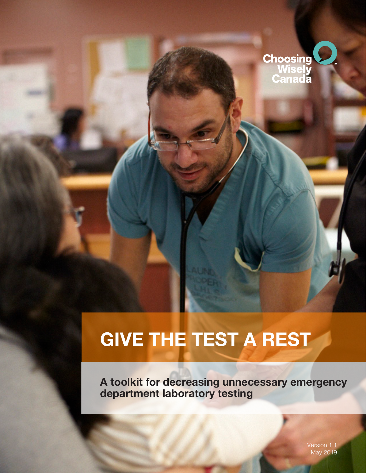

# **GIVE THE TEST A REST**

**A toolkit for decreasing unnecessary emergency department laboratory testing**

> Version 1.1 May 2019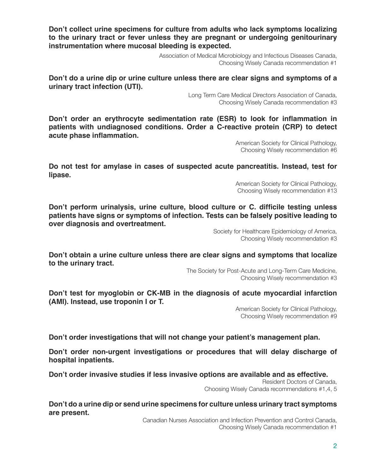**Don't collect urine specimens for culture from adults who lack symptoms localizing to the urinary tract or fever unless they are pregnant or undergoing genitourinary instrumentation where mucosal bleeding is expected.**

> Association of Medical Microbiology and Infectious Diseases Canada, Choosing Wisely Canada recommendation #1

**Don't do a urine dip or urine culture unless there are clear signs and symptoms of a urinary tract infection (UTI).**

> Long Term Care Medical Directors Association of Canada, Choosing Wisely Canada recommendation #3

**Don't order an erythrocyte sedimentation rate (ESR) to look for inflammation in patients with undiagnosed conditions. Order a C-reactive protein (CRP) to detect acute phase inflammation.**

> American Society for Clinical Pathology, Choosing Wisely recommendation #6

**Do not test for amylase in cases of suspected acute pancreatitis. Instead, test for lipase.**

> American Society for Clinical Pathology, Choosing Wisely recommendation #13

**Don't perform urinalysis, urine culture, blood culture or C. difficile testing unless patients have signs or symptoms of infection. Tests can be falsely positive leading to over diagnosis and overtreatment.**

> Society for Healthcare Epidemiology of America, Choosing Wisely recommendation #3

**Don't obtain a urine culture unless there are clear signs and symptoms that localize to the urinary tract.**

> The Society for Post-Acute and Long-Term Care Medicine, Choosing Wisely recommendation #3

**Don't test for myoglobin or CK-MB in the diagnosis of acute myocardial infarction (AMI). Instead, use troponin I or T.**

> American Society for Clinical Pathology, Choosing Wisely recommendation #9

**Don't order investigations that will not change your patient's management plan.**

**Don't order non-urgent investigations or procedures that will delay discharge of hospital inpatients.**

**Don't order invasive studies if less invasive options are available and as effective.**

Resident Doctors of Canada, Choosing Wisely Canada recommendations #1,4, 5

**Don't do a urine dip or send urine specimens for culture unless urinary tract symptoms are present.**

> Canadian Nurses Association and Infection Prevention and Control Canada, Choosing Wisely Canada recommendation #1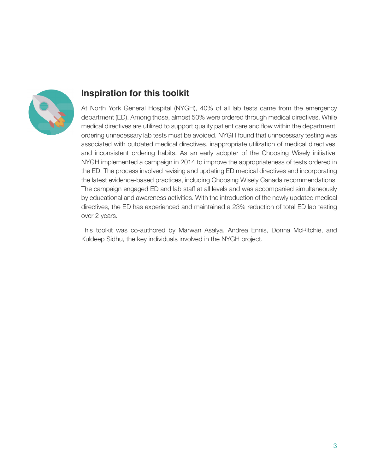

## **Inspiration for this toolkit**

At North York General Hospital (NYGH), 40% of all lab tests came from the emergency department (ED). Among those, almost 50% were ordered through medical directives. While medical directives are utilized to support quality patient care and flow within the department, ordering unnecessary lab tests must be avoided. NYGH found that unnecessary testing was associated with outdated medical directives, inappropriate utilization of medical directives, and inconsistent ordering habits. As an early adopter of the Choosing Wisely initiative, NYGH implemented a campaign in 2014 to improve the appropriateness of tests ordered in the ED. The process involved revising and updating ED medical directives and incorporating the latest evidence-based practices, including Choosing Wisely Canada recommendations. The campaign engaged ED and lab staff at all levels and was accompanied simultaneously by educational and awareness activities. With the introduction of the newly updated medical directives, the ED has experienced and maintained a 23% reduction of total ED lab testing over 2 years.

This toolkit was co-authored by Marwan Asalya, Andrea Ennis, Donna McRitchie, and Kuldeep Sidhu, the key individuals involved in the NYGH project.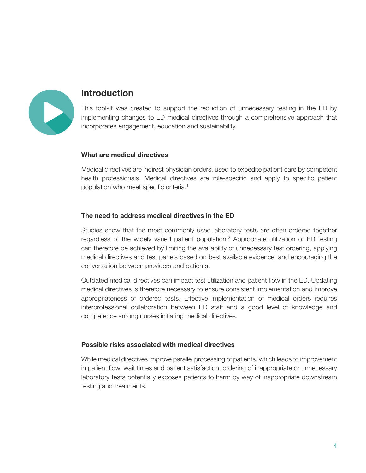

## **Introduction**

This toolkit was created to support the reduction of unnecessary testing in the ED by implementing changes to ED medical directives through a comprehensive approach that incorporates engagement, education and sustainability.

#### **What are medical directives**

Medical directives are indirect physician orders, used to expedite patient care by competent health professionals. Medical directives are role-specific and apply to specific patient population who meet specific criteria.<sup>1</sup>

#### **The need to address medical directives in the ED**

Studies show that the most commonly used laboratory tests are often ordered together regardless of the widely varied patient population.<sup>2</sup> Appropriate utilization of ED testing can therefore be achieved by limiting the availability of unnecessary test ordering, applying medical directives and test panels based on best available evidence, and encouraging the conversation between providers and patients.

Outdated medical directives can impact test utilization and patient flow in the ED. Updating medical directives is therefore necessary to ensure consistent implementation and improve appropriateness of ordered tests. Effective implementation of medical orders requires interprofessional collaboration between ED staff and a good level of knowledge and competence among nurses initiating medical directives.

#### **Possible risks associated with medical directives**

While medical directives improve parallel processing of patients, which leads to improvement in patient flow, wait times and patient satisfaction, ordering of inappropriate or unnecessary laboratory tests potentially exposes patients to harm by way of inappropriate downstream testing and treatments.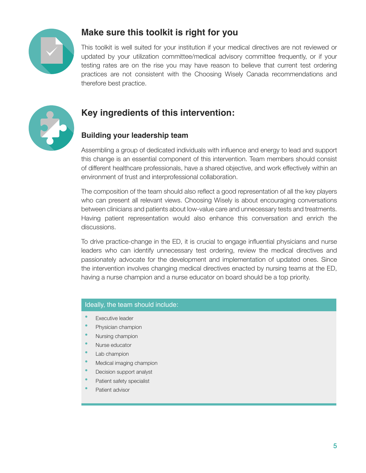

# **Make sure this toolkit is right for you**

This toolkit is well suited for your institution if your medical directives are not reviewed or updated by your utilization committee/medical advisory committee frequently, or if your testing rates are on the rise you may have reason to believe that current test ordering practices are not consistent with the Choosing Wisely Canada recommendations and therefore best practice.



# **Key ingredients of this intervention:**

## **Building your leadership team**

Assembling a group of dedicated individuals with influence and energy to lead and support this change is an essential component of this intervention. Team members should consist of different healthcare professionals, have a shared objective, and work effectively within an environment of trust and interprofessional collaboration.

The composition of the team should also reflect a good representation of all the key players who can present all relevant views. Choosing Wisely is about encouraging conversations between clinicians and patients about low-value care and unnecessary tests and treatments. Having patient representation would also enhance this conversation and enrich the discussions.

To drive practice-change in the ED, it is crucial to engage influential physicians and nurse leaders who can identify unnecessary test ordering, review the medical directives and passionately advocate for the development and implementation of updated ones. Since the intervention involves changing medical directives enacted by nursing teams at the ED, having a nurse champion and a nurse educator on board should be a top priority.

## Ideally, the team should include:

- **Executive leader**
- **Physician champion**
- Nursing champion
- Nurse educator
- Lab champion
- **Medical imaging champion**
- **Decision support analyst**
- Patient safety specialist
- **Patient advisor**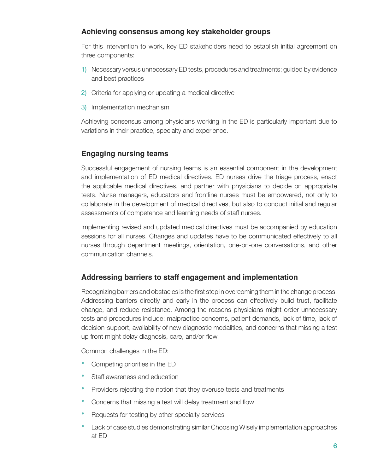## **Achieving consensus among key stakeholder groups**

For this intervention to work, key ED stakeholders need to establish initial agreement on three components:

- 1) Necessary versus unnecessary ED tests, procedures and treatments; guided by evidence and best practices
- 2) Criteria for applying or updating a medical directive
- 3) Implementation mechanism

Achieving consensus among physicians working in the ED is particularly important due to variations in their practice, specialty and experience.

## **Engaging nursing teams**

Successful engagement of nursing teams is an essential component in the development and implementation of ED medical directives. ED nurses drive the triage process, enact the applicable medical directives, and partner with physicians to decide on appropriate tests. Nurse managers, educators and frontline nurses must be empowered, not only to collaborate in the development of medical directives, but also to conduct initial and regular assessments of competence and learning needs of staff nurses.

Implementing revised and updated medical directives must be accompanied by education sessions for all nurses. Changes and updates have to be communicated effectively to all nurses through department meetings, orientation, one-on-one conversations, and other communication channels.

## **Addressing barriers to staff engagement and implementation**

Recognizing barriers and obstacles is the first step in overcoming them in the change process. Addressing barriers directly and early in the process can effectively build trust, facilitate change, and reduce resistance. Among the reasons physicians might order unnecessary tests and procedures include: malpractice concerns, patient demands, lack of time, lack of decision-support, availability of new diagnostic modalities, and concerns that missing a test up front might delay diagnosis, care, and/or flow.

Common challenges in the ED:

- **Competing priorities in the ED**
- **Staff awareness and education**
- **Providers rejecting the notion that they overuse tests and treatments**
- Concerns that missing a test will delay treatment and flow
- Requests for testing by other specialty services
- **Lack of case studies demonstrating similar Choosing Wisely implementation approaches** at ED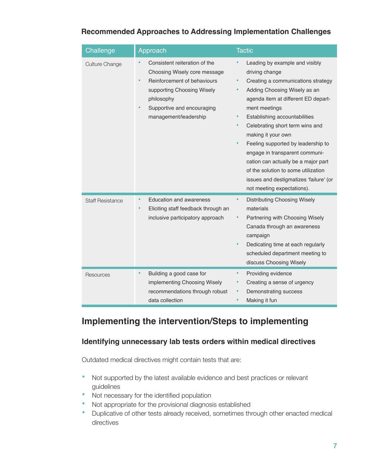| Challenge               | Approach                                                                                                                                                                                                  | <b>Tactic</b>                                                                                                                                                                                                                                                                                                                                                                                                                                                                                                                 |
|-------------------------|-----------------------------------------------------------------------------------------------------------------------------------------------------------------------------------------------------------|-------------------------------------------------------------------------------------------------------------------------------------------------------------------------------------------------------------------------------------------------------------------------------------------------------------------------------------------------------------------------------------------------------------------------------------------------------------------------------------------------------------------------------|
| Culture Change          | Consistent reiteration of the<br>Choosing Wisely core message<br>Reinforcement of behaviours<br>٠<br>supporting Choosing Wisely<br>philosophy<br>Supportive and encouraging<br>٠<br>management/leadership | Leading by example and visibly<br>driving change<br>Creating a communications strategy<br>٠<br>Adding Choosing Wisely as an<br>٠<br>agenda item at different ED depart-<br>ment meetings<br>Establishing accountabilities<br>Celebrating short term wins and<br>$\bullet$<br>making it your own<br>Feeling supported by leadership to<br>engage in transparent communi-<br>cation can actually be a major part<br>of the solution to some utilization<br>issues and destigmatizes 'failure' (or<br>not meeting expectations). |
| <b>Staff Resistance</b> | <b>Education and awareness</b><br>Eliciting staff feedback through an<br>inclusive participatory approach                                                                                                 | ٠<br><b>Distributing Choosing Wisely</b><br>materials<br>Partnering with Choosing Wisely<br>Canada through an awareness<br>campaign<br>Dedicating time at each regularly<br>٠<br>scheduled department meeting to<br>discuss Choosing Wisely                                                                                                                                                                                                                                                                                   |
| Resources               | Building a good case for<br>$\bullet$<br>implementing Choosing Wisely<br>recommendations through robust                                                                                                   | Providing evidence<br>٠<br>Creating a sense of urgency<br>Demonstrating success<br>٠                                                                                                                                                                                                                                                                                                                                                                                                                                          |

## **Recommended Approaches to Addressing Implementation Challenges**

# **Implementing the intervention/Steps to implementing**

• Making it fun

## **Identifying unnecessary lab tests orders within medical directives**

Outdated medical directives might contain tests that are:

data collection

- Not supported by the latest available evidence and best practices or relevant guidelines
- Not necessary for the identified population
- Not appropriate for the provisional diagnosis established
- Duplicative of other tests already received, sometimes through other enacted medical directives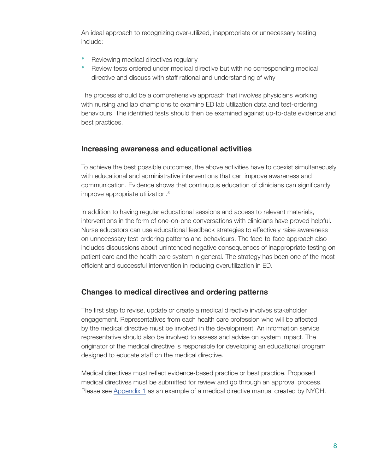An ideal approach to recognizing over-utilized, inappropriate or unnecessary testing include:

- Reviewing medical directives regularly
- **•**  Review tests ordered under medical directive but with no corresponding medical directive and discuss with staff rational and understanding of why

The process should be a comprehensive approach that involves physicians working with nursing and lab champions to examine ED lab utilization data and test-ordering behaviours. The identified tests should then be examined against up-to-date evidence and best practices.

## **Increasing awareness and educational activities**

To achieve the best possible outcomes, the above activities have to coexist simultaneously with educational and administrative interventions that can improve awareness and communication. Evidence shows that continuous education of clinicians can significantly improve appropriate utilization.3

In addition to having regular educational sessions and access to relevant materials, interventions in the form of one-on-one conversations with clinicians have proved helpful. Nurse educators can use educational feedback strategies to effectively raise awareness on unnecessary test-ordering patterns and behaviours. The face-to-face approach also includes discussions about unintended negative consequences of inappropriate testing on patient care and the health care system in general. The strategy has been one of the most efficient and successful intervention in reducing overutilization in ED.

## **Changes to medical directives and ordering patterns**

The first step to revise, update or create a medical directive involves stakeholder engagement. Representatives from each health care profession who will be affected by the medical directive must be involved in the development. An information service representative should also be involved to assess and advise on system impact. The originator of the medical directive is responsible for developing an educational program designed to educate staff on the medical directive.

Medical directives must reflect evidence-based practice or best practice. Proposed medical directives must be submitted for review and go through an approval process. Please see [Appendix 1](#page-11-0) as an example of a medical directive manual created by NYGH.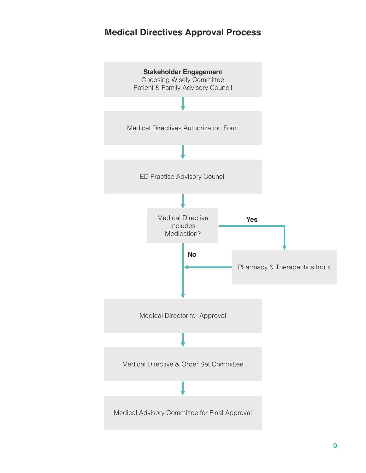# **Medical Directives Approval Process**

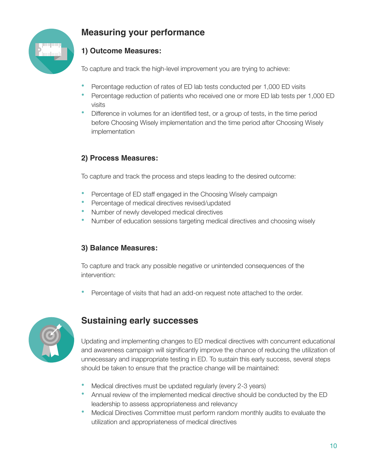

# **Measuring your performance**

## **1) Outcome Measures:**

To capture and track the high-level improvement you are trying to achieve:

- **Percentage reduction of rates of ED lab tests conducted per 1,000 ED visits**
- Percentage reduction of patients who received one or more ED lab tests per 1,000 ED visits
- Difference in volumes for an identified test, or a group of tests, in the time period before Choosing Wisely implementation and the time period after Choosing Wisely implementation

## **2) Process Measures:**

To capture and track the process and steps leading to the desired outcome:

- **Percentage of ED staff engaged in the Choosing Wisely campaign**
- **•**  Percentage of medical directives revised/updated
- Number of newly developed medical directives
- Number of education sessions targeting medical directives and choosing wisely

## **3) Balance Measures:**

To capture and track any possible negative or unintended consequences of the intervention:

Percentage of visits that had an add-on request note attached to the order.



# **Sustaining early successes**

Updating and implementing changes to ED medical directives with concurrent educational and awareness campaign will significantly improve the chance of reducing the utilization of unnecessary and inappropriate testing in ED. To sustain this early success, several steps should be taken to ensure that the practice change will be maintained:

- Medical directives must be updated regularly (every 2-3 years)
- Annual review of the implemented medical directive should be conducted by the ED leadership to assess appropriateness and relevancy
- **•**  Medical Directives Committee must perform random monthly audits to evaluate the utilization and appropriateness of medical directives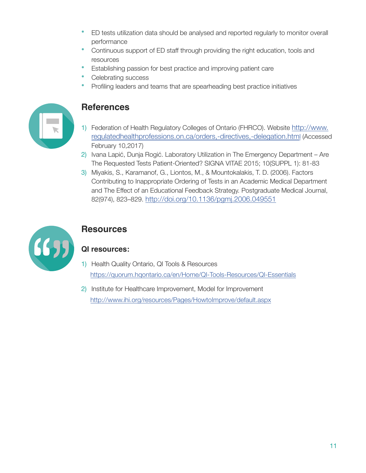- ED tests utilization data should be analysed and reported regularly to monitor overall performance
- **•**  Continuous support of ED staff through providing the right education, tools and resources
- Establishing passion for best practice and improving patient care
- **Celebrating success**
- **Profiling leaders and teams that are spearheading best practice initiatives**



## **References**

- 1) Federation of Health Regulatory Colleges of Ontario (FHRCO). Website [http://www.](http://www.regulatedhealthprofessions.on.ca/orders,-directives,-delegation.html) [regulatedhealthprofessions.on.ca/orders,-directives,-delegation.htm](http://www.regulatedhealthprofessions.on.ca/orders,-directives,-delegation.html)l (Accessed February 10,2017)
- 2) Ivana Lapić, Dunja Rogić. Laboratory Utilization in The Emergency Department Are The Requested Tests Patient-Oriented? SIGNA VITAE 2015; 10(SUPPL 1): 81-83
- 3) Miyakis, S., Karamanof, G., Liontos, M., & Mountokalakis, T. D. (2006). Factors Contributing to Inappropriate Ordering of Tests in an Academic Medical Department and The Effect of an Educational Feedback Strategy. Postgraduate Medical Journal, 82(974), 823–829. <http://doi.org/10.1136/pgmj.2006.049551>



# **Resources**

## **QI resources:**

- 1) Health Quality Ontario, QI Tools & Resources <https://quorum.hqontario.ca/en/Home/QI-Tools-Resources/QI-Essentials>
- 2) Institute for Healthcare Improvement, Model for Improvement <http://www.ihi.org/resources/Pages/HowtoImprove/default.aspx>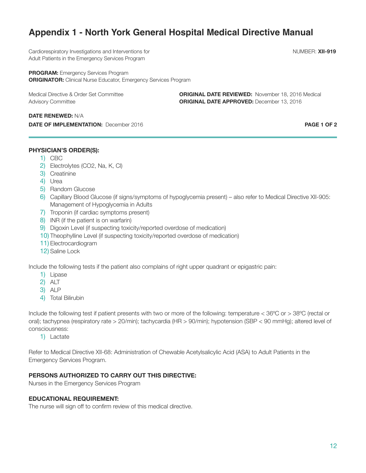# <span id="page-11-0"></span>**Appendix 1 - North York General Hospital Medical Directive Manual**

Cardiorespiratory Investigations and Interventions for NUMBER: **XII-919** NUMBER: **XII-919** Adult Patients in the Emergency Services Program

**PROGRAM:** Emergency Services Program **ORIGINATOR:** Clinical Nurse Educator, Emergency Services Program

Medical Directive & Order Set Committee **ORIGINAL DATE REVIEWED:** November 18, 2016 Medical Advisory Committee **ORIGINAL DATE APPROVED:** December 13, 2016

#### **DATE RENEWED:** N/A

**DATE OF IMPLEMENTATION:** December 2016 **PAGE 1 OF 2 PAGE 1 OF 2** 

#### **PHYSICIAN'S ORDER(S):**

- 1) CBC
- 2) Electrolytes (CO2, Na, K, Cl)
- 3) Creatinine
- 4) Urea
- 5) Random Glucose
- 6) Capillary Blood Glucose (if signs/symptoms of hypoglycemia present) also refer to Medical Directive XII-905: Management of Hypoglycemia in Adults
- 7) Troponin (if cardiac symptoms present)
- 8) INR (if the patient is on warfarin)
- 9) Digoxin Level (if suspecting toxicity/reported overdose of medication)
- 10) Theophylline Level (if suspecting toxicity/reported overdose of medication)
- 11) Electrocardiogram
- 12) Saline Lock

Include the following tests if the patient also complains of right upper quadrant or epigastric pain:

- 1) Lipase
- 2) ALT
- 3) ALP
- 4) Total Bilirubin

Include the following test if patient presents with two or more of the following: temperature < 36ºC or > 38ºC (rectal or oral); tachypnea (respiratory rate > 20/min); tachycardia (HR > 90/min); hypotension (SBP < 90 mmHg); altered level of consciousness:

1) Lactate

Refer to Medical Directive XII-68: Administration of Chewable Acetylsalicylic Acid (ASA) to Adult Patients in the Emergency Services Program.

#### **PERSONS AUTHORIZED TO CARRY OUT THIS DIRECTIVE:**

Nurses in the Emergency Services Program

#### **EDUCATIONAL REQUIREMENT:**

The nurse will sign off to confirm review of this medical directive.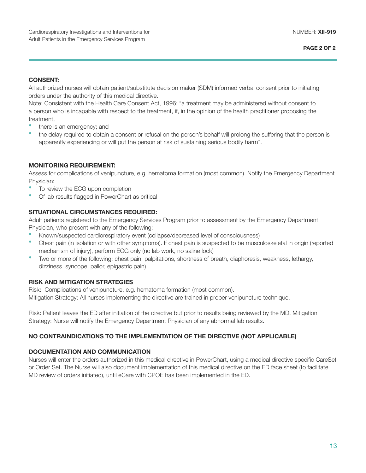#### **CONSENT:**

All authorized nurses will obtain patient/substitute decision maker (SDM) informed verbal consent prior to initiating orders under the authority of this medical directive.

Note: Consistent with the Health Care Consent Act, 1996; "a treatment may be administered without consent to a person who is incapable with respect to the treatment, if, in the opinion of the health practitioner proposing the treatment,

- there is an emergency; and
- the delay required to obtain a consent or refusal on the person's behalf will prolong the suffering that the person is apparently experiencing or will put the person at risk of sustaining serious bodily harm".

#### **MONITORING REQUIREMENT:**

Assess for complications of venipuncture, e.g. hematoma formation (most common). Notify the Emergency Department Physician:

- To review the ECG upon completion
- Of lab results flagged in PowerChart as critical

#### **SITUATIONAL CIRCUMSTANCES REQUIRED:**

Adult patients registered to the Emergency Services Program prior to assessment by the Emergency Department Physician, who present with any of the following:

- Known/suspected cardiorespiratory event (collapse/decreased level of consciousness)
- Chest pain (in isolation or with other symptoms). If chest pain is suspected to be musculoskeletal in origin (reported mechanism of injury), perform ECG only (no lab work, no saline lock)
- Two or more of the following: chest pain, palpitations, shortness of breath, diaphoresis, weakness, lethargy, dizziness, syncope, pallor, epigastric pain)

#### **RISK AND MITIGATION STRATEGIES**

Risk: Complications of venipuncture, e.g. hematoma formation (most common). Mitigation Strategy: All nurses implementing the directive are trained in proper venipuncture technique.

Risk: Patient leaves the ED after initiation of the directive but prior to results being reviewed by the MD. Mitigation Strategy: Nurse will notify the Emergency Department Physician of any abnormal lab results.

#### **NO CONTRAINDICATIONS TO THE IMPLEMENTATION OF THE DIRECTIVE (NOT APPLICABLE)**

#### **DOCUMENTATION AND COMMUNICATION**

Nurses will enter the orders authorized in this medical directive in PowerChart, using a medical directive specific CareSet or Order Set. The Nurse will also document implementation of this medical directive on the ED face sheet (to facilitate MD review of orders initiated), until eCare with CPOE has been implemented in the ED.